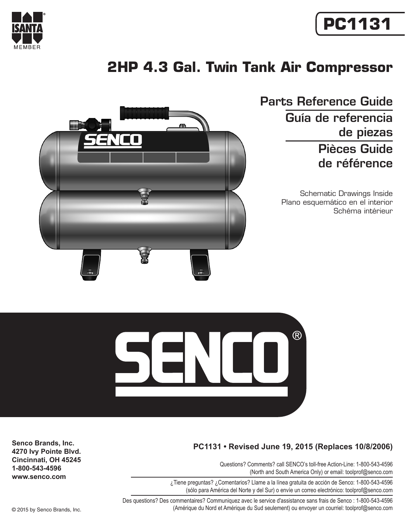

# <span id="page-0-0"></span>**PC1131**

## <span id="page-0-1"></span>**2HP 4.3 Gal. Twin Tank Air Compressor**



Parts Reference Guide Guía de referencia de piezas Pièces Guide de référence

> Schematic Drawings Inside Plano esquemático en el interior Schéma intérieur



### **PC1131 • Revised June 19, 2015 (Replaces 10/8/2006)**

Questions? Comments? call SENCO's toll-free Action-Line: 1-800-543-4596 (North and South America Only) or email: toolprof@senco.com

¿Tiene preguntas? ¿Comentarios? Llame a la línea gratuita de acción de Senco: 1-800-543-4596 (sólo para América del Norte y del Sur) o envíe un correo electrónico: toolprof@senco.com

Des questions? Des commentaires? Communiquez avec le service d'assistance sans frais de Senco : 1-800-543-4596 © 2015 by Senco Brands, Inc. (Amérique du Nord et Amérique du Sud seulement) ou envoyer un courriel: toolprof@senco.com

**Senco Brands, Inc. 4270 Ivy Pointe Blvd. Cincinnati, OH 45245 1-800-543-4596 www.senco.com**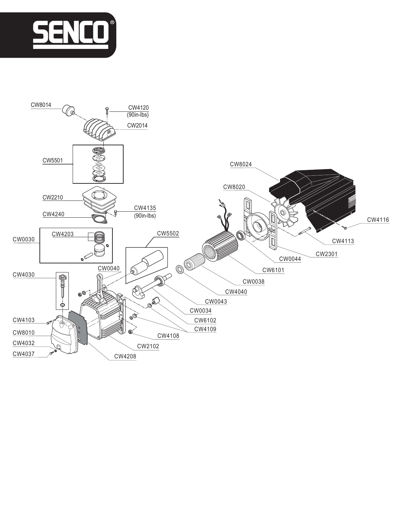

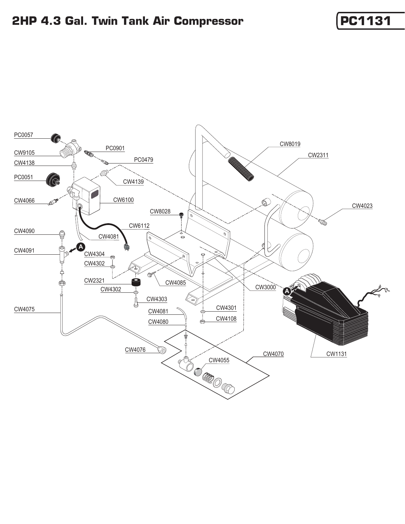## **[2HP 4.3 Gal. Twin Tank Air Compressor](#page-0-1) [[PC1131](#page-0-0)**